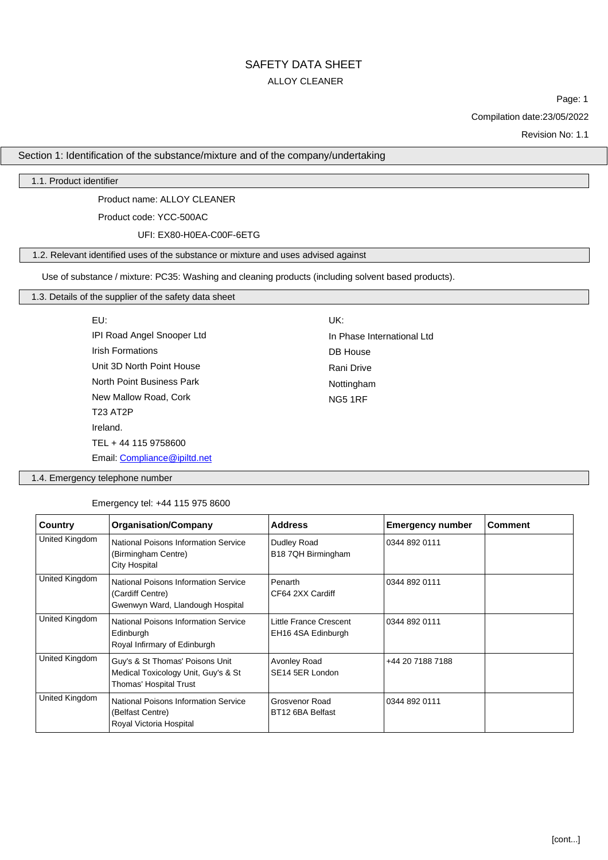## SAFETY DATA SHEET ALLOY CLEANER

Page: 1

Compilation date:23/05/2022

Revision No: 1.1

#### Section 1: Identification of the substance/mixture and of the company/undertaking

1.1. Product identifier

Product name: ALLOY CLEANER

Product code: YCC-500AC

UFI: EX80-H0EA-C00F-6ETG

## 1.2. Relevant identified uses of the substance or mixture and uses advised against

Use of substance / mixture: PC35: Washing and cleaning products (including solvent based products).

#### 1.3. Details of the supplier of the safety data sheet

| EU:                          | UK:                        |
|------------------------------|----------------------------|
| IPI Road Angel Snooper Ltd   | In Phase International Ltd |
| <b>Irish Formations</b>      | DB House                   |
| Unit 3D North Point House    | Rani Drive                 |
| North Point Business Park    | Nottingham                 |
| New Mallow Road, Cork        | <b>NG5 1RF</b>             |
| <b>T23 AT2P</b>              |                            |
| Ireland.                     |                            |
| TEL + 44 115 9758600         |                            |
| Email: Compliance@ipiltd.net |                            |

1.4. Emergency telephone number

Emergency tel: +44 115 975 8600

| Country                                                                                               | <b>Organisation/Company</b>                                                                      | <b>Address</b>                               | <b>Emergency number</b> | <b>Comment</b> |
|-------------------------------------------------------------------------------------------------------|--------------------------------------------------------------------------------------------------|----------------------------------------------|-------------------------|----------------|
| United Kingdom                                                                                        | National Poisons Information Service<br>(Birmingham Centre)<br><b>City Hospital</b>              | Dudley Road<br>B18 7QH Birmingham            | 0344 892 0111           |                |
| United Kingdom                                                                                        | National Poisons Information Service<br>(Cardiff Centre)<br>Gwenwyn Ward, Llandough Hospital     | Penarth<br>CF64 2XX Cardiff                  | 0344 892 0111           |                |
| United Kingdom                                                                                        | National Poisons Information Service<br>Edinburgh<br>Royal Infirmary of Edinburgh                | Little France Crescent<br>EH16 4SA Edinburgh | 0344 892 0111           |                |
| United Kingdom                                                                                        | Guy's & St Thomas' Poisons Unit<br>Medical Toxicology Unit, Guy's & St<br>Thomas' Hospital Trust | Avonley Road<br>SE14 5ER London              | +44 20 7188 7188        |                |
| United Kingdom<br>National Poisons Information Service<br>(Belfast Centre)<br>Royal Victoria Hospital |                                                                                                  | Grosvenor Road<br>BT12 6BA Belfast           | 0344 892 0111           |                |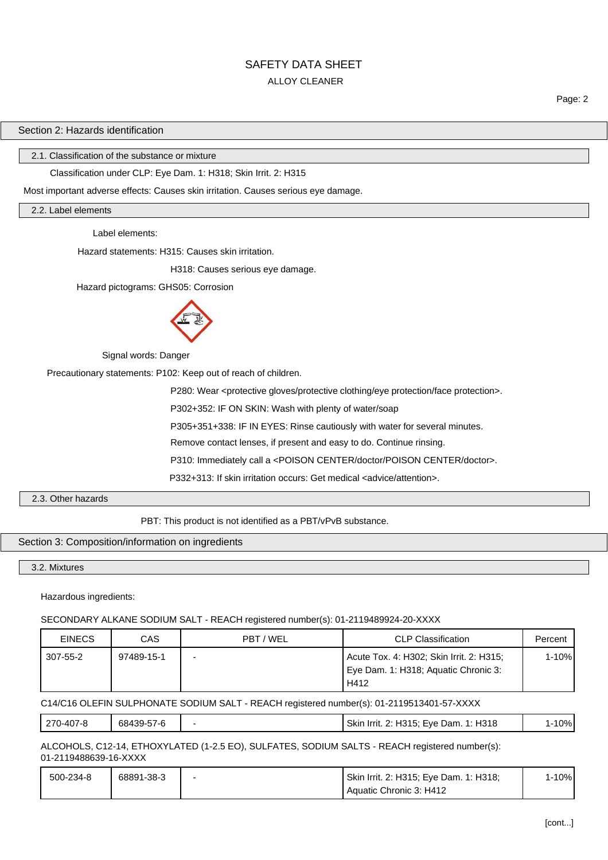## SAFETY DATA SHEET ALLOY CLEANER

Page: 2

## Section 2: Hazards identification

2.1. Classification of the substance or mixture

#### Classification under CLP: Eye Dam. 1: H318; Skin Irrit. 2: H315

Most important adverse effects: Causes skin irritation. Causes serious eye damage.

2.2. Label elements

Label elements:

Hazard statements: H315: Causes skin irritation.

H318: Causes serious eye damage.

Hazard pictograms: GHS05: Corrosion



Signal words: Danger

Precautionary statements: P102: Keep out of reach of children.

P280: Wear <protective gloves/protective clothing/eye protection/face protection>.

P302+352: IF ON SKIN: Wash with plenty of water/soap

P305+351+338: IF IN EYES: Rinse cautiously with water for several minutes.

Remove contact lenses, if present and easy to do. Continue rinsing.

P310: Immediately call a <POISON CENTER/doctor/POISON CENTER/doctor>.

P332+313: If skin irritation occurs: Get medical <advice/attention>.

2.3. Other hazards

PBT: This product is not identified as a PBT/vPvB substance.

#### Section 3: Composition/information on ingredients

3.2. Mixtures

Hazardous ingredients:

#### SECONDARY ALKANE SODIUM SALT - REACH registered number(s): 01-2119489924-20-XXXX

| <b>EINECS</b> | CAS        | PBT / WEL | <b>CLP Classification</b>                                                                | Percent |
|---------------|------------|-----------|------------------------------------------------------------------------------------------|---------|
| 307-55-2      | 97489-15-1 |           | Acute Tox. 4: H302; Skin Irrit. 2: H315;<br>Eye Dam. 1: H318; Aquatic Chronic 3:<br>H412 | 1-10%l  |

C14/C16 OLEFIN SULPHONATE SODIUM SALT - REACH registered number(s): 01-2119513401-57-XXXX

|--|

ALCOHOLS, C12-14, ETHOXYLATED (1-2.5 EO), SULFATES, SODIUM SALTS - REACH registered number(s): 01-2119488639-16-XXXX

| 500-234-8 | 68891-38-3 | Skin Irrit. 2: H315; Eye Dam. 1: H318; | 1-10% |
|-----------|------------|----------------------------------------|-------|
|           |            | Aquatic Chronic 3: H412                |       |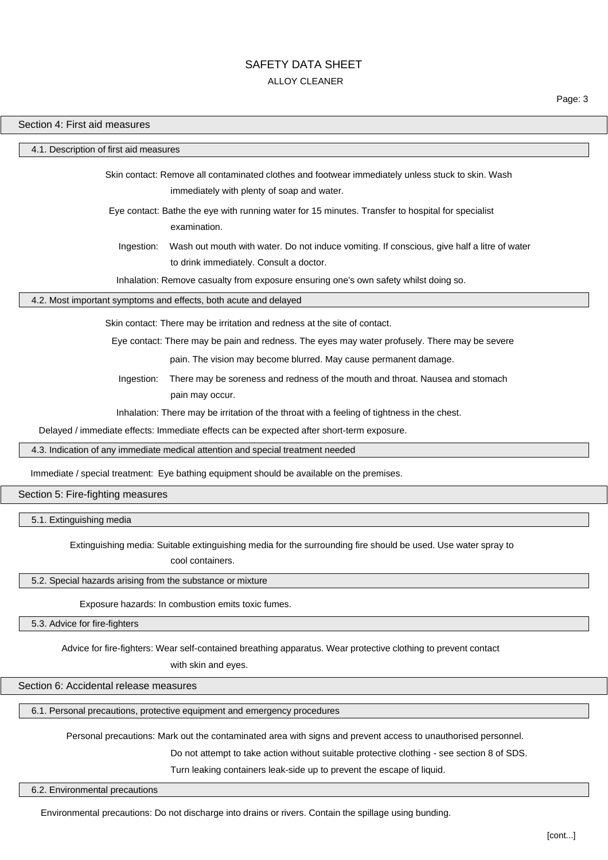## SAFETY DATA SHFFT ALLOY CLEANER

#### Section 4: First aid measures

#### 4.1. Description of first aid measures

Skin contact: Remove all contaminated clothes and footwear immediately unless stuck to skin. Wash immediately with plenty of soap and water.

Eye contact: Bathe the eye with running water for 15 minutes. Transfer to hospital for specialist examination.

Ingestion: Wash out mouth with water. Do not induce vomiting. If conscious, give half a litre of water to drink immediately. Consult a doctor.

Inhalation: Remove casualty from exposure ensuring one's own safety whilst doing so.

#### 4.2. Most important symptoms and effects, both acute and delayed

Skin contact: There may be irritation and redness at the site of contact.

Eye contact: There may be pain and redness. The eyes may water profusely. There may be severe

pain. The vision may become blurred. May cause permanent damage.

Ingestion: There may be soreness and redness of the mouth and throat. Nausea and stomach pain may occur.

Inhalation: There may be irritation of the throat with a feeling of tightness in the chest.

Delayed / immediate effects: Immediate effects can be expected after short-term exposure.

4.3. Indication of any immediate medical attention and special treatment needed

Immediate / special treatment: Eye bathing equipment should be available on the premises.

#### Section 5: Fire-fighting measures

5.1. Extinguishing media

Extinguishing media: Suitable extinguishing media for the surrounding fire should be used. Use water spray to

cool containers.

5.2. Special hazards arising from the substance or mixture

Exposure hazards: In combustion emits toxic fumes.

5.3. Advice for fire-fighters

Advice for fire-fighters: Wear self-contained breathing apparatus. Wear protective clothing to prevent contact

with skin and eyes.

#### Section 6: Accidental release measures

6.1. Personal precautions, protective equipment and emergency procedures

Personal precautions: Mark out the contaminated area with signs and prevent access to unauthorised personnel.

Do not attempt to take action without suitable protective clothing - see section 8 of SDS.

Turn leaking containers leak-side up to prevent the escape of liquid.

6.2. Environmental precautions

Environmental precautions: Do not discharge into drains or rivers. Contain the spillage using bunding.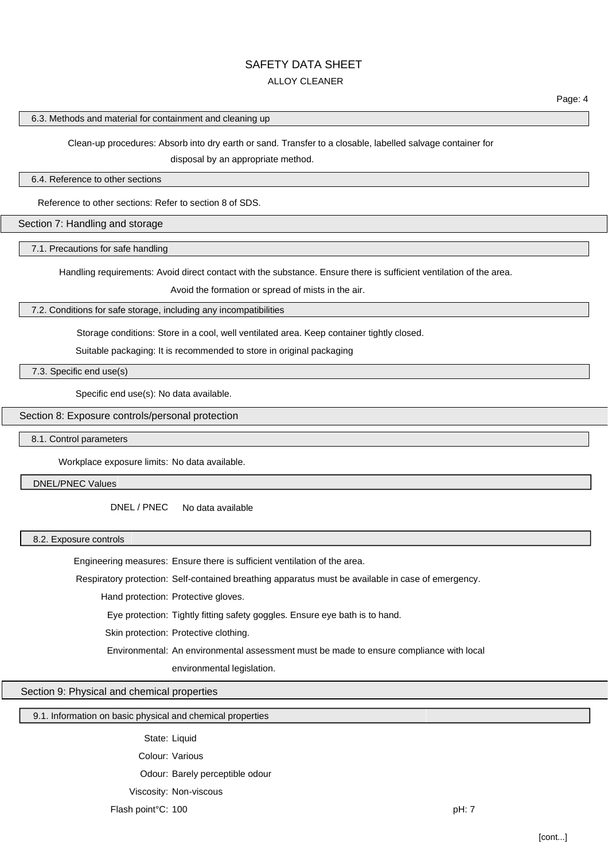# SAFETY DATA SHEET

## ALLOY CLEANER

#### 6.3. Methods and material for containment and cleaning up

Clean-up procedures: Absorb into dry earth or sand. Transfer to a closable, labelled salvage container for

disposal by an appropriate method.

#### 6.4. Reference to other sections

Reference to other sections: Refer to section 8 of SDS.

#### Section 7: Handling and storage

7.1. Precautions for safe handling

Handling requirements: Avoid direct contact with the substance. Ensure there is sufficient ventilation of the area.

Avoid the formation or spread of mists in the air.

#### 7.2. Conditions for safe storage, including any incompatibilities

Storage conditions: Store in a cool, well ventilated area. Keep container tightly closed.

Suitable packaging: It is recommended to store in original packaging

7.3. Specific end use(s)

Specific end use(s): No data available.

#### Section 8: Exposure controls/personal protection

#### 8.1. Control parameters

Workplace exposure limits: No data available.

DNEL/PNEC Values

DNEL / PNEC No data available

#### 8.2. Exposure controls

Engineering measures: Ensure there is sufficient ventilation of the area.

Respiratory protection: Self-contained breathing apparatus must be available in case of emergency.

Hand protection: Protective gloves.

Eye protection: Tightly fitting safety goggles. Ensure eye bath is to hand.

Skin protection: Protective clothing.

Environmental: An environmental assessment must be made to ensure compliance with local

environmental legislation.

Section 9: Physical and chemical properties

#### 9.1. Information on basic physical and chemical properties

State: Liquid

Colour: Various

Odour: Barely perceptible odour

Viscosity: Non-viscous

Flash point°C: 100 pH: 7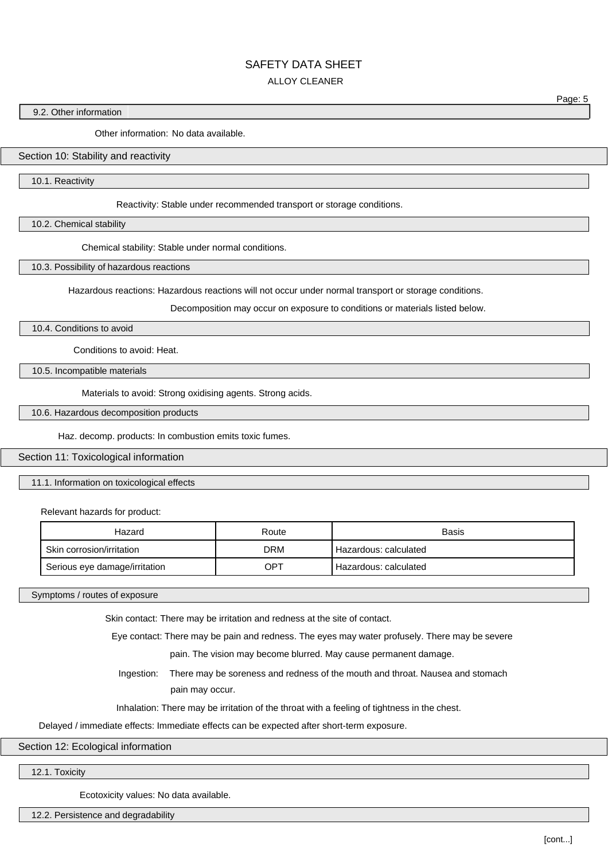## SAFETY DATA SHEET

#### ALLOY CLEANER

#### 9.2. Other information

Other information: No data available.

#### Section 10: Stability and reactivity

10.1. Reactivity

Reactivity: Stable under recommended transport or storage conditions.

10.2. Chemical stability

Chemical stability: Stable under normal conditions.

10.3. Possibility of hazardous reactions

Hazardous reactions: Hazardous reactions will not occur under normal transport or storage conditions.

Decomposition may occur on exposure to conditions or materials listed below.

10.4. Conditions to avoid

Conditions to avoid: Heat.

10.5. Incompatible materials

Materials to avoid: Strong oxidising agents. Strong acids.

10.6. Hazardous decomposition products

Haz. decomp. products: In combustion emits toxic fumes.

Section 11: Toxicological information

11.1. Information on toxicological effects

Relevant hazards for product:

| Hazard                        | Route | Basis                 |
|-------------------------------|-------|-----------------------|
| Skin corrosion/irritation     | DRM   | Hazardous: calculated |
| Serious eye damage/irritation | OPT   | Hazardous: calculated |

Symptoms / routes of exposure

Skin contact: There may be irritation and redness at the site of contact.

Eye contact: There may be pain and redness. The eyes may water profusely. There may be severe

pain. The vision may become blurred. May cause permanent damage.

Ingestion: There may be soreness and redness of the mouth and throat. Nausea and stomach pain may occur.

Inhalation: There may be irritation of the throat with a feeling of tightness in the chest.

Delayed / immediate effects: Immediate effects can be expected after short-term exposure.

Section 12: Ecological information

12.1. Toxicity

Ecotoxicity values: No data available.

12.2. Persistence and degradability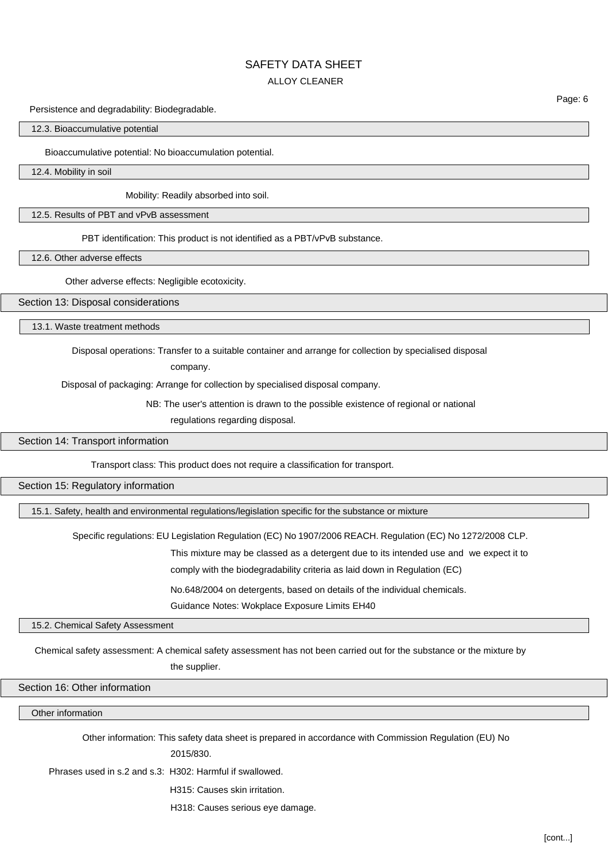## SAFETY DATA SHEET

## ALLOY CLEANER

Persistence and degradability: Biodegradable.

#### 12.3. Bioaccumulative potential

Bioaccumulative potential: No bioaccumulation potential.

12.4. Mobility in soil

Mobility: Readily absorbed into soil.

12.5. Results of PBT and vPvB assessment

PBT identification: This product is not identified as a PBT/vPvB substance.

12.6. Other adverse effects

Other adverse effects: Negligible ecotoxicity.

Section 13: Disposal considerations

13.1. Waste treatment methods

Disposal operations: Transfer to a suitable container and arrange for collection by specialised disposal

company.

Disposal of packaging: Arrange for collection by specialised disposal company.

NB: The user's attention is drawn to the possible existence of regional or national

regulations regarding disposal.

Section 14: Transport information

Transport class: This product does not require a classification for transport.

Section 15: Regulatory information

15.1. Safety, health and environmental regulations/legislation specific for the substance or mixture

Specific regulations: EU Legislation Regulation (EC) No 1907/2006 REACH. Regulation (EC) No 1272/2008 CLP.

This mixture may be classed as a detergent due to its intended use and we expect it to

comply with the biodegradability criteria as laid down in Regulation (EC)

No.648/2004 on detergents, based on details of the individual chemicals.

Guidance Notes: Wokplace Exposure Limits EH40

15.2. Chemical Safety Assessment

Chemical safety assessment: A chemical safety assessment has not been carried out for the substance or the mixture by

the supplier.

Section 16: Other information

Other information

Other information: This safety data sheet is prepared in accordance with Commission Regulation (EU) No

2015/830.

Phrases used in s.2 and s.3: H302: Harmful if swallowed.

H315: Causes skin irritation.

H318: Causes serious eye damage.